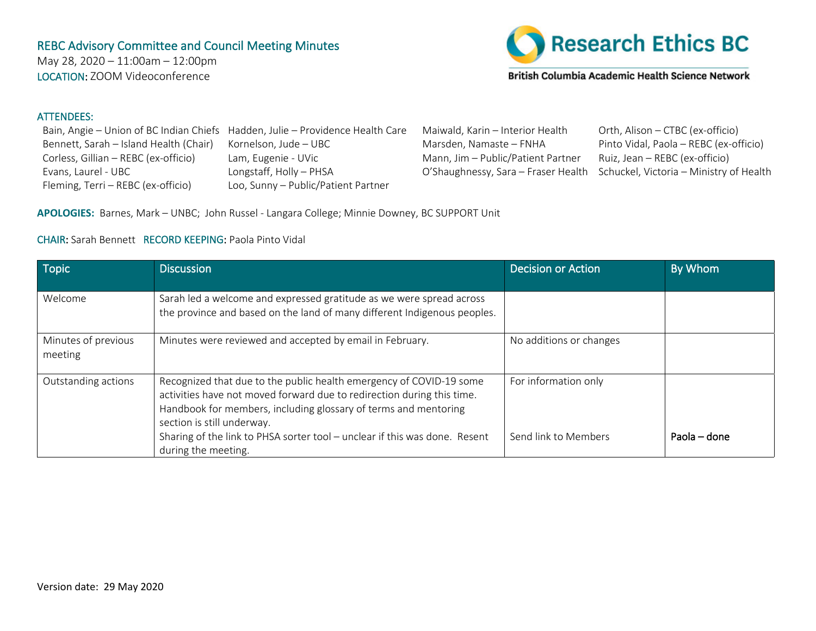## REBC Advisory Committee and Council Meeting Minutes

May 28, 2020 – 11:00am – 12:00pm LOCATION: ZOOM Videoconference



British Columbia Academic Health Science Network

## ATTENDEES:

|                                        | Bain, Angie – Union of BC Indian Chiefs Hadden, Julie – Providence Health Care | Maiwald, Kaı  |
|----------------------------------------|--------------------------------------------------------------------------------|---------------|
| Bennett, Sarah - Island Health (Chair) | Kornelson, Jude - UBC                                                          | Marsden, Na   |
| Corless, Gillian - REBC (ex-officio)   | Lam, Eugenie - UVic                                                            | Mann, $Jim -$ |
| Evans, Laurel - UBC                    | Longstaff, Holly - PHSA                                                        | O'Shaughnes   |
| Fleming, Terri - REBC (ex-officio)     | Loo, Sunny - Public/Patient Partner                                            |               |

rin – Interior Health <sup>Orth</sup>, Alison – CTBC (ex-officio) amaste – FNHA – Pinto Vidal, Paola – REBC (ex-officio) Public/Patient Partner Ruiz, Jean – REBC (ex-officio) ssy, Sara – Fraser Health Schuckel, Victoria – Ministry of Health

**APOLOGIES:** Barnes, Mark – UNBC; John Russel - Langara College; Minnie Downey, BC SUPPORT Unit

## CHAIR: Sarah Bennett RECORD KEEPING: Paola Pinto Vidal

| <b>Topic</b>                   | <b>Discussion</b>                                                                                                                                                                                                                              | <b>Decision or Action</b> | By Whom      |
|--------------------------------|------------------------------------------------------------------------------------------------------------------------------------------------------------------------------------------------------------------------------------------------|---------------------------|--------------|
| Welcome                        | Sarah led a welcome and expressed gratitude as we were spread across<br>the province and based on the land of many different Indigenous peoples.                                                                                               |                           |              |
| Minutes of previous<br>meeting | Minutes were reviewed and accepted by email in February.                                                                                                                                                                                       | No additions or changes   |              |
| Outstanding actions            | Recognized that due to the public health emergency of COVID-19 some<br>activities have not moved forward due to redirection during this time.<br>Handbook for members, including glossary of terms and mentoring<br>section is still underway. | For information only      |              |
|                                | Sharing of the link to PHSA sorter tool - unclear if this was done. Resent<br>during the meeting.                                                                                                                                              | Send link to Members      | Paola – done |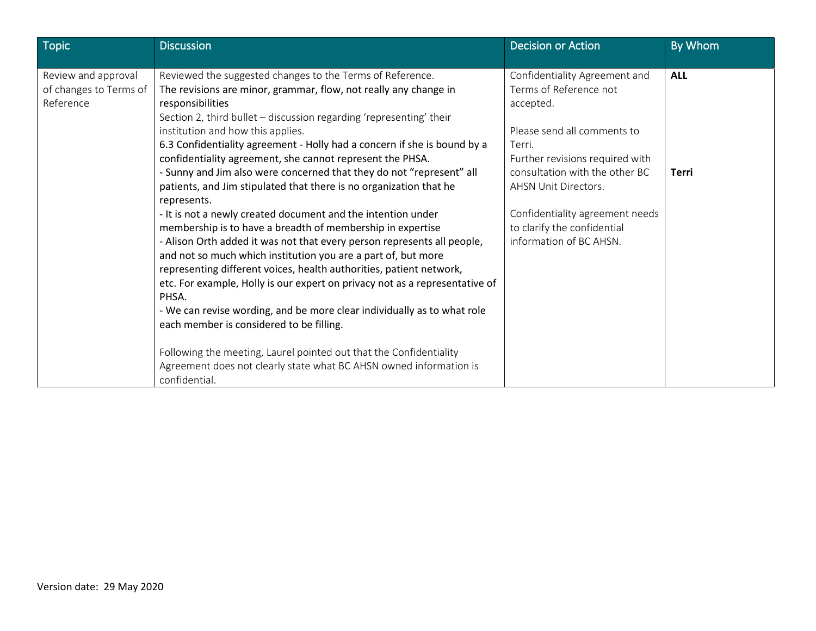| <b>Topic</b>           | Discussion                                                                          | <b>Decision or Action</b>       | By Whom      |
|------------------------|-------------------------------------------------------------------------------------|---------------------------------|--------------|
|                        |                                                                                     |                                 |              |
| Review and approval    | Reviewed the suggested changes to the Terms of Reference.                           | Confidentiality Agreement and   | <b>ALL</b>   |
| of changes to Terms of | The revisions are minor, grammar, flow, not really any change in                    | Terms of Reference not          |              |
| Reference              | responsibilities                                                                    | accepted.                       |              |
|                        | Section 2, third bullet - discussion regarding 'representing' their                 |                                 |              |
|                        | institution and how this applies.                                                   | Please send all comments to     |              |
|                        | 6.3 Confidentiality agreement - Holly had a concern if she is bound by a            | Terri.                          |              |
|                        | confidentiality agreement, she cannot represent the PHSA.                           | Further revisions required with |              |
|                        | - Sunny and Jim also were concerned that they do not "represent" all                | consultation with the other BC  | <b>Terri</b> |
|                        | patients, and Jim stipulated that there is no organization that he                  | AHSN Unit Directors.            |              |
|                        | represents.                                                                         |                                 |              |
|                        | - It is not a newly created document and the intention under                        | Confidentiality agreement needs |              |
|                        | membership is to have a breadth of membership in expertise                          | to clarify the confidential     |              |
|                        | - Alison Orth added it was not that every person represents all people,             | information of BC AHSN.         |              |
|                        | and not so much which institution you are a part of, but more                       |                                 |              |
|                        | representing different voices, health authorities, patient network,                 |                                 |              |
|                        | etc. For example, Holly is our expert on privacy not as a representative of         |                                 |              |
|                        | PHSA.                                                                               |                                 |              |
|                        | - We can revise wording, and be more clear individually as to what role             |                                 |              |
|                        | each member is considered to be filling.                                            |                                 |              |
|                        |                                                                                     |                                 |              |
|                        | Following the meeting, Laurel pointed out that the Confidentiality                  |                                 |              |
|                        | Agreement does not clearly state what BC AHSN owned information is<br>confidential. |                                 |              |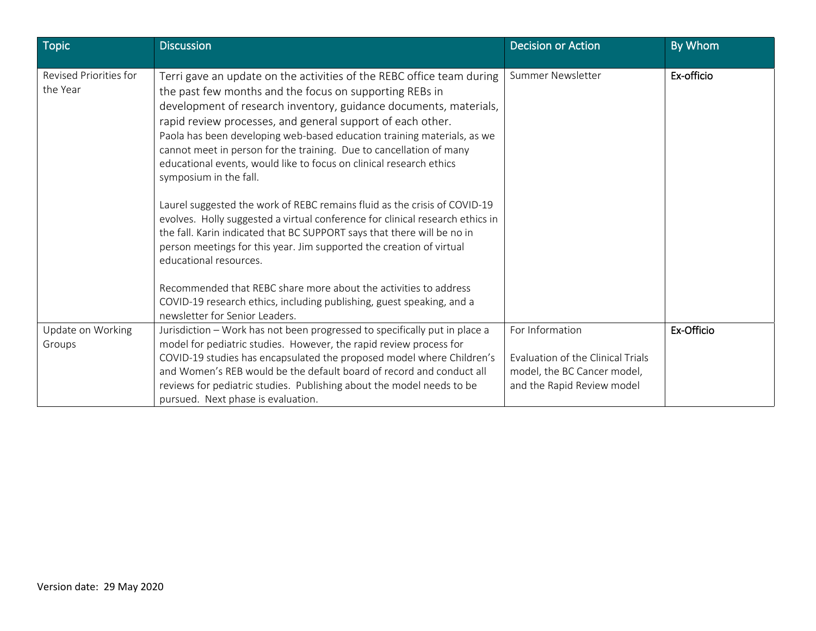| <b>Topic</b>                       | <b>Discussion</b>                                                                                                                                                                                                                                                                                                                                                                                                                                                                                                      | <b>Decision or Action</b>                                                                                         | By Whom    |
|------------------------------------|------------------------------------------------------------------------------------------------------------------------------------------------------------------------------------------------------------------------------------------------------------------------------------------------------------------------------------------------------------------------------------------------------------------------------------------------------------------------------------------------------------------------|-------------------------------------------------------------------------------------------------------------------|------------|
| Revised Priorities for<br>the Year | Terri gave an update on the activities of the REBC office team during<br>the past few months and the focus on supporting REBs in<br>development of research inventory, guidance documents, materials,<br>rapid review processes, and general support of each other.<br>Paola has been developing web-based education training materials, as we<br>cannot meet in person for the training. Due to cancellation of many<br>educational events, would like to focus on clinical research ethics<br>symposium in the fall. | Summer Newsletter                                                                                                 | Ex-officio |
|                                    | Laurel suggested the work of REBC remains fluid as the crisis of COVID-19<br>evolves. Holly suggested a virtual conference for clinical research ethics in<br>the fall. Karin indicated that BC SUPPORT says that there will be no in<br>person meetings for this year. Jim supported the creation of virtual<br>educational resources.                                                                                                                                                                                |                                                                                                                   |            |
|                                    | Recommended that REBC share more about the activities to address<br>COVID-19 research ethics, including publishing, guest speaking, and a<br>newsletter for Senior Leaders.                                                                                                                                                                                                                                                                                                                                            |                                                                                                                   |            |
| Update on Working<br>Groups        | Jurisdiction - Work has not been progressed to specifically put in place a<br>model for pediatric studies. However, the rapid review process for<br>COVID-19 studies has encapsulated the proposed model where Children's<br>and Women's REB would be the default board of record and conduct all<br>reviews for pediatric studies. Publishing about the model needs to be<br>pursued. Next phase is evaluation.                                                                                                       | For Information<br>Evaluation of the Clinical Trials<br>model, the BC Cancer model,<br>and the Rapid Review model | Ex-Officio |